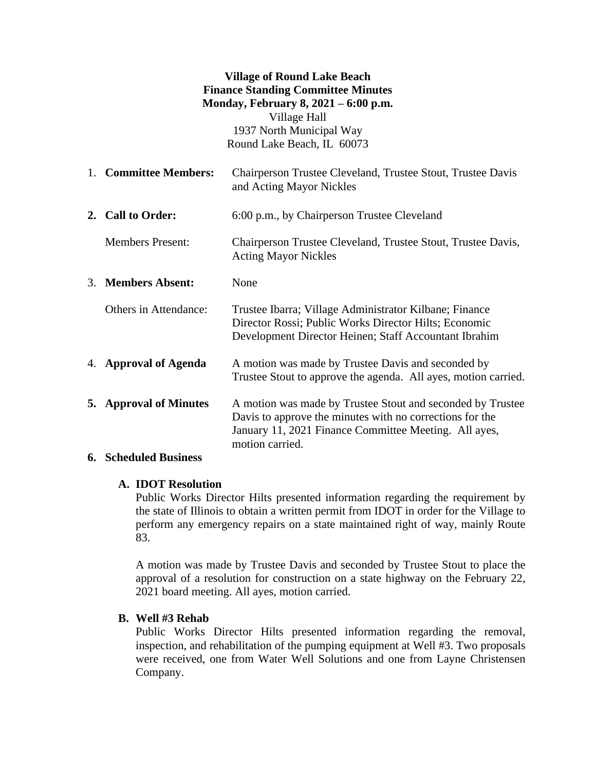# **Village of Round Lake Beach Finance Standing Committee Minutes Monday, February 8, 2021 – 6:00 p.m.** Village Hall 1937 North Municipal Way

Round Lake Beach, IL 60073

- 1. **Committee Members:** Chairperson Trustee Cleveland, Trustee Stout, Trustee Davis and Acting Mayor Nickles **2. Call to Order:** 6:00 p.m., by Chairperson Trustee Cleveland Members Present: Chairperson Trustee Cleveland, Trustee Stout, Trustee Davis, Acting Mayor Nickles 3. **Members Absent:** None Others in Attendance: Trustee Ibarra; Village Administrator Kilbane; Finance Director Rossi; Public Works Director Hilts; Economic
- 4. **Approval of Agenda** A motion was made by Trustee Davis and seconded by Trustee Stout to approve the agenda. All ayes, motion carried.

Development Director Heinen; Staff Accountant Ibrahim

**5. Approval of Minutes** A motion was made by Trustee Stout and seconded by Trustee Davis to approve the minutes with no corrections for the January 11, 2021 Finance Committee Meeting. All ayes, motion carried.

# **6. Scheduled Business**

# **A. IDOT Resolution**

Public Works Director Hilts presented information regarding the requirement by the state of Illinois to obtain a written permit from IDOT in order for the Village to perform any emergency repairs on a state maintained right of way, mainly Route 83.

A motion was made by Trustee Davis and seconded by Trustee Stout to place the approval of a resolution for construction on a state highway on the February 22, 2021 board meeting. All ayes, motion carried.

# **B. Well #3 Rehab**

Public Works Director Hilts presented information regarding the removal, inspection, and rehabilitation of the pumping equipment at Well #3. Two proposals were received, one from Water Well Solutions and one from Layne Christensen Company.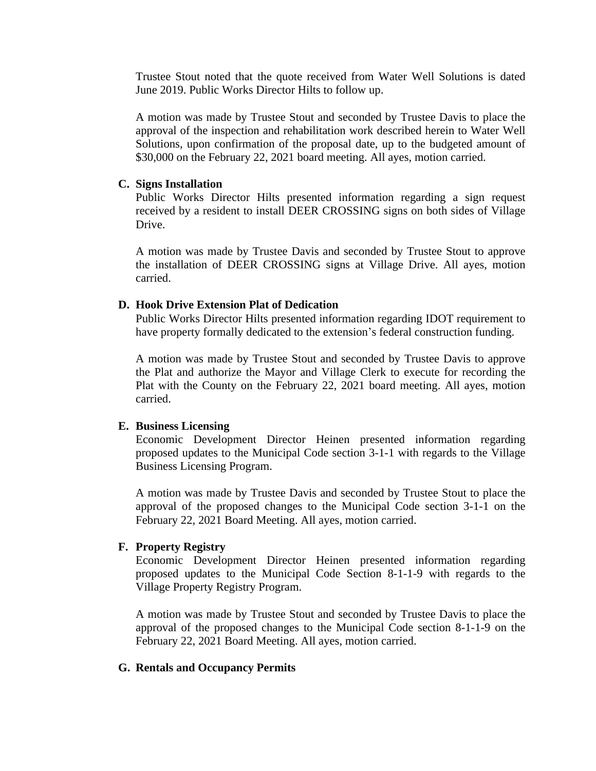Trustee Stout noted that the quote received from Water Well Solutions is dated June 2019. Public Works Director Hilts to follow up.

A motion was made by Trustee Stout and seconded by Trustee Davis to place the approval of the inspection and rehabilitation work described herein to Water Well Solutions, upon confirmation of the proposal date, up to the budgeted amount of \$30,000 on the February 22, 2021 board meeting. All ayes, motion carried.

#### **C. Signs Installation**

Public Works Director Hilts presented information regarding a sign request received by a resident to install DEER CROSSING signs on both sides of Village Drive.

A motion was made by Trustee Davis and seconded by Trustee Stout to approve the installation of DEER CROSSING signs at Village Drive. All ayes, motion carried.

#### **D. Hook Drive Extension Plat of Dedication**

Public Works Director Hilts presented information regarding IDOT requirement to have property formally dedicated to the extension's federal construction funding.

A motion was made by Trustee Stout and seconded by Trustee Davis to approve the Plat and authorize the Mayor and Village Clerk to execute for recording the Plat with the County on the February 22, 2021 board meeting. All ayes, motion carried.

#### **E. Business Licensing**

Economic Development Director Heinen presented information regarding proposed updates to the Municipal Code section 3-1-1 with regards to the Village Business Licensing Program.

A motion was made by Trustee Davis and seconded by Trustee Stout to place the approval of the proposed changes to the Municipal Code section 3-1-1 on the February 22, 2021 Board Meeting. All ayes, motion carried.

# **F. Property Registry**

Economic Development Director Heinen presented information regarding proposed updates to the Municipal Code Section 8-1-1-9 with regards to the Village Property Registry Program.

A motion was made by Trustee Stout and seconded by Trustee Davis to place the approval of the proposed changes to the Municipal Code section 8-1-1-9 on the February 22, 2021 Board Meeting. All ayes, motion carried.

#### **G. Rentals and Occupancy Permits**